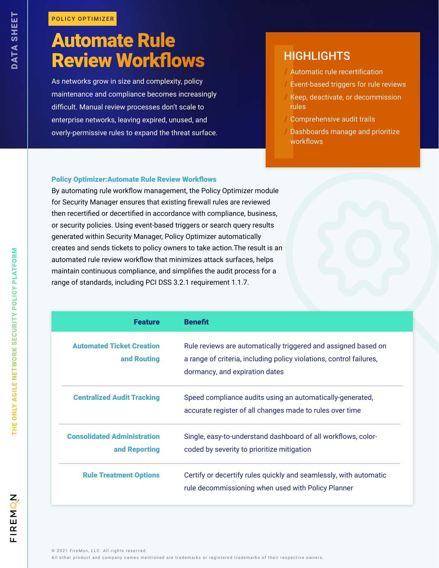# Automate Rule Review Workflows

As networks grow in size and complexity, policy maintenance and compliance becomes increasingly difficult. Manual review processes don't scale to enterprise networks, leaving expired, unused, and FOLICY OPTIMIZER<br>
SERVIEW WORKTIOWS<br>
As networks grow in size and complexity, policy<br>
As networks grow in size and complexity, policy<br>
maintenance and compliance becomes increasingly<br>
difficult. Manual review processes don

# **HIGHLIGHTS**

- / Automatic rule recertification
- Event-based triggers for rule reviews
- / Keep, deactivate, or decommission rules
- Comprehensive audit trails
- / Dashboards manage and prioritize workflows

### Policy Optimizer:Automate Rule Review Workflows

By automating rule workflow management, the Policy Optimizer module for Security Manager ensures that existing firewall rules are reviewed then recertified or decertified in accordance with compliance, business, or security policies. Using event-based triggers or search query results generated within Security Manager, Policy Optimizer automatically creates and sends tickets to policy owners to take action.The result is an automated rule review workflow that minimizes attack surfaces, helps maintain continuous compliance, and simplifies the audit process for a range of standards, including PCI DSS 3.2.1 requirement 1.1.7.

| <b>Feature</b>                                      | <b>Benefit</b>                                                                                                                                                          |
|-----------------------------------------------------|-------------------------------------------------------------------------------------------------------------------------------------------------------------------------|
| <b>Automated Ticket Creation</b><br>and Routing     | Rule reviews are automatically triggered and assigned based on<br>a range of criteria, including policy violations, control failures,<br>dormancy, and expiration dates |
| <b>Centralized Audit Tracking</b>                   | Speed compliance audits using an automatically-generated,<br>accurate register of all changes made to rules over time                                                   |
| <b>Consolidated Administration</b><br>and Reporting | Single, easy-to-understand dashboard of all workflows, color-<br>coded by severity to prioritize mitigation                                                             |
| <b>Rule Treatment Options</b>                       | Certify or decertify rules quickly and seamlessly, with automatic<br>rule decommissioning when used with Policy Planner                                                 |